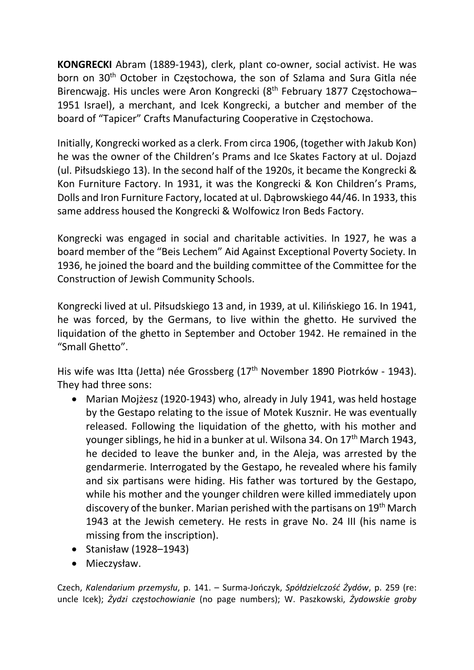KONGRECKI Abram (1889-1943), clerk, plant co-owner, social activist. He was born on 30<sup>th</sup> October in Częstochowa, the son of Szlama and Sura Gitla née Birencwajg. His uncles were Aron Kongrecki (8<sup>th</sup> February 1877 Częstochowa-1951 Israel), a merchant, and Icek Kongrecki, a butcher and member of the board of "Tapicer" Crafts Manufacturing Cooperative in Częstochowa.

Initially, Kongrecki worked as a clerk. From circa 1906, (together with Jakub Kon) he was the owner of the Children's Prams and Ice Skates Factory at ul. Dojazd (ul. Piłsudskiego 13). In the second half of the 1920s, it became the Kongrecki & Kon Furniture Factory. In 1931, it was the Kongrecki & Kon Children's Prams, Dolls and Iron Furniture Factory, located at ul. Dąbrowskiego 44/46. In 1933, this same address housed the Kongrecki & Wolfowicz Iron Beds Factory.

Kongrecki was engaged in social and charitable activities. In 1927, he was a board member of the "Beis Lechem" Aid Against Exceptional Poverty Society. In 1936, he joined the board and the building committee of the Committee for the Construction of Jewish Community Schools.

Kongrecki lived at ul. Piłsudskiego 13 and, in 1939, at ul. Kilińskiego 16. In 1941, he was forced, by the Germans, to live within the ghetto. He survived the liquidation of the ghetto in September and October 1942. He remained in the "Small Ghetto".

His wife was Itta (Jetta) née Grossberg (17<sup>th</sup> November 1890 Piotrków - 1943). They had three sons:

- Marian Mojżesz (1920-1943) who, already in July 1941, was held hostage by the Gestapo relating to the issue of Motek Kusznir. He was eventually released. Following the liquidation of the ghetto, with his mother and younger siblings, he hid in a bunker at ul. Wilsona 34, On 17<sup>th</sup> March 1943, he decided to leave the bunker and, in the Aleja, was arrested by the gendarmerie. Interrogated by the Gestapo, he revealed where his family and six partisans were hiding. His father was tortured by the Gestapo, while his mother and the younger children were killed immediately upon discovery of the bunker. Marian perished with the partisans on 19<sup>th</sup> March 1943 at the Jewish cemetery. He rests in grave No. 24 III (his name is missing from the inscription).
- Stanisław (1928–1943)
- Mieczysław.

Czech, Kalendarium przemysłu, p. 141. – Surma-Jończyk, Spółdzielczość Żydów, p. 259 (re: uncle Icek); Żydzi częstochowianie (no page numbers); W. Paszkowski, Żydowskie groby